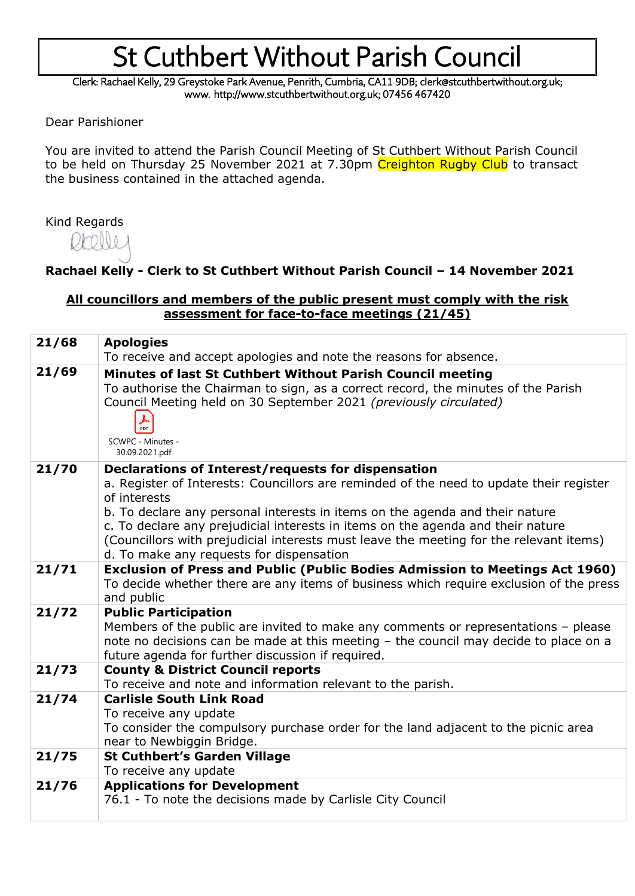## St Cuthbert Without Parish Council

Clerk: Rachael Kelly, 29 Greystoke Park Avenue, Penrith, Cumbria, CA11 9DB; clerk@stcuthbertwithout.org.uk; www. http://www.stcuthbertwithout.org.uk; 07456 467420

Dear Parishioner

You are invited to attend the Parish Council Meeting of St Cuthbert Without Parish Council to be held on Thursday 25 November 2021 at 7.30pm Creighton Rugby Club to transact the business contained in the attached agenda.

#### Kind Regards

### **Rachael Kelly - Clerk to St Cuthbert Without Parish Council – 14 November 2021**

#### **All councillors and members of the public present must comply with the risk assessment for face-to-face meetings (21/45)**

| 21/68 | <b>Apologies</b>                                                                                                                                                                                                                                                                                                                                                                                                                                                       |
|-------|------------------------------------------------------------------------------------------------------------------------------------------------------------------------------------------------------------------------------------------------------------------------------------------------------------------------------------------------------------------------------------------------------------------------------------------------------------------------|
|       | To receive and accept apologies and note the reasons for absence.                                                                                                                                                                                                                                                                                                                                                                                                      |
| 21/69 | Minutes of last St Cuthbert Without Parish Council meeting<br>To authorise the Chairman to sign, as a correct record, the minutes of the Parish<br>Council Meeting held on 30 September 2021 (previously circulated)<br>PDF<br>SCWPC - Minutes -<br>30.09.2021.pdf                                                                                                                                                                                                     |
| 21/70 | Declarations of Interest/requests for dispensation<br>a. Register of Interests: Councillors are reminded of the need to update their register<br>of interests<br>b. To declare any personal interests in items on the agenda and their nature<br>c. To declare any prejudicial interests in items on the agenda and their nature<br>(Councillors with prejudicial interests must leave the meeting for the relevant items)<br>d. To make any requests for dispensation |
| 21/71 | <b>Exclusion of Press and Public (Public Bodies Admission to Meetings Act 1960)</b><br>To decide whether there are any items of business which require exclusion of the press<br>and public                                                                                                                                                                                                                                                                            |
| 21/72 | <b>Public Participation</b><br>Members of the public are invited to make any comments or representations - please<br>note no decisions can be made at this meeting - the council may decide to place on a<br>future agenda for further discussion if required.                                                                                                                                                                                                         |
| 21/73 | <b>County &amp; District Council reports</b><br>To receive and note and information relevant to the parish.                                                                                                                                                                                                                                                                                                                                                            |
| 21/74 | <b>Carlisle South Link Road</b><br>To receive any update<br>To consider the compulsory purchase order for the land adjacent to the picnic area<br>near to Newbiggin Bridge.                                                                                                                                                                                                                                                                                            |
| 21/75 | <b>St Cuthbert's Garden Village</b><br>To receive any update                                                                                                                                                                                                                                                                                                                                                                                                           |
| 21/76 | <b>Applications for Development</b>                                                                                                                                                                                                                                                                                                                                                                                                                                    |
|       | 76.1 - To note the decisions made by Carlisle City Council                                                                                                                                                                                                                                                                                                                                                                                                             |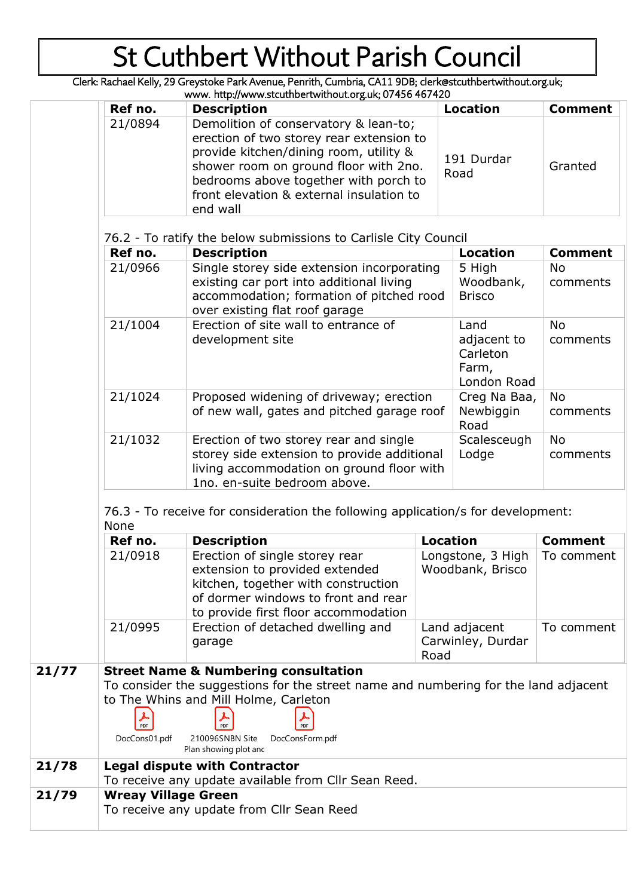# St Cuthbert Without Parish Council

Clerk: Rachael Kelly, 29 Greystoke Park Avenue, Penrith, Cumbria, CA11 9DB; clerk@stcuthbertwithout.org.uk;

| ker no. | Description                                                                                                                                                          | Location                                                | Comment               |
|---------|----------------------------------------------------------------------------------------------------------------------------------------------------------------------|---------------------------------------------------------|-----------------------|
| 21/0966 | Single storey side extension incorporating<br>existing car port into additional living<br>accommodation; formation of pitched rood<br>over existing flat roof garage | 5 High<br>Woodbank,<br><b>Brisco</b>                    | <b>No</b><br>comments |
| 21/1004 | Erection of site wall to entrance of<br>development site                                                                                                             | Land<br>adjacent to<br>Carleton<br>Farm,<br>London Road | <b>No</b><br>comments |
| 21/1024 | Proposed widening of driveway; erection<br>of new wall, gates and pitched garage roof                                                                                | Creg Na Baa,<br>Newbiggin<br>Road                       | <b>No</b><br>comments |
| 21/1032 | Erection of two storey rear and single<br>storey side extension to provide additional<br>living accommodation on ground floor with<br>1no. en-suite bedroom above.   | Scalesceugh<br>Lodge                                    | <b>No</b><br>comments |

76.3 - To receive for consideration the following application/s for development: None

|       | Ref no. | <b>Description</b>                                                                                                                                                                     | Location                                   | <b>Comment</b> |  |
|-------|---------|----------------------------------------------------------------------------------------------------------------------------------------------------------------------------------------|--------------------------------------------|----------------|--|
|       | 21/0918 | Erection of single storey rear<br>extension to provided extended<br>kitchen, together with construction<br>of dormer windows to front and rear<br>to provide first floor accommodation | Longstone, 3 High<br>Woodbank, Brisco      | To comment     |  |
|       | 21/0995 | Erection of detached dwelling and<br>garage                                                                                                                                            | Land adjacent<br>Carwinley, Durdar<br>Road | To comment     |  |
| 21/77 |         | <b>Street Name &amp; Numbering consultation</b><br>To consider the suggestions for the street name and numbering for the land adjacent<br>to The Whins and Mill Holme, Carloton        |                                            |                |  |

|       |                                      | to The Whins and Mill Holme, Carleton    |                                                      |  |  |
|-------|--------------------------------------|------------------------------------------|------------------------------------------------------|--|--|
|       | $\sum_{\text{PDF}}$                  |                                          | PDF                                                  |  |  |
|       | DocCons01.pdf                        | 210096SNBN Site<br>Plan showing plot and | DocConsForm.pdf                                      |  |  |
| 21/78 | <b>Legal dispute with Contractor</b> |                                          |                                                      |  |  |
|       |                                      |                                          | To receive any update available from Cllr Sean Reed. |  |  |

To receive any update from Cllr Sean Reed

**21/79 Wreay Village Green**